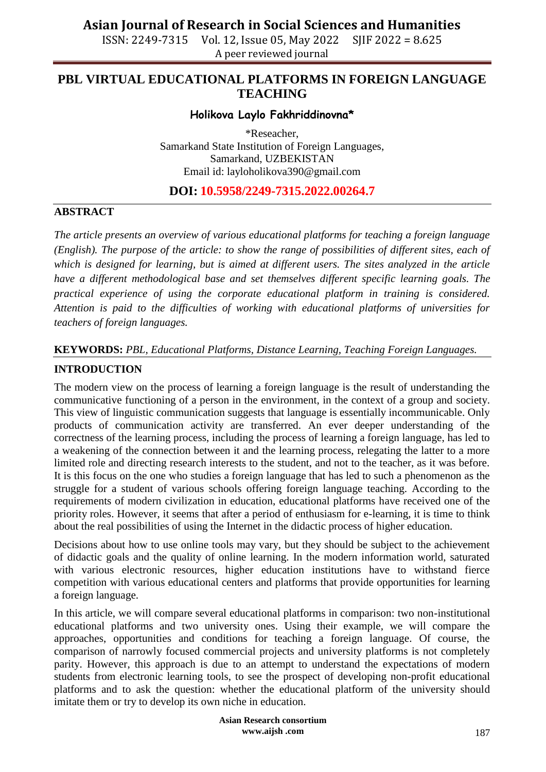ISSN: 2249-7315 Vol. 12, Issue 05, May 2022 SJIF 2022 = 8.625 A peer reviewed journal

### **PBL VIRTUAL EDUCATIONAL PLATFORMS IN FOREIGN LANGUAGE TEACHING**

### **Holikova Laylo Fakhriddinovna\***

\*Reseacher, Samarkand State Institution of Foreign Languages, Samarkand, UZBEKISTAN Email id: [layloholikova390@gmail.com](mailto:layloholikova390@gmail.com)

### **DOI: 10.5958/2249-7315.2022.00264.7**

#### **ABSTRACT**

*The article presents an overview of various educational platforms for teaching a foreign language (English). The purpose of the article: to show the range of possibilities of different sites, each of which is designed for learning, but is aimed at different users. The sites analyzed in the article have a different methodological base and set themselves different specific learning goals. The practical experience of using the corporate educational platform in training is considered. Attention is paid to the difficulties of working with educational platforms of universities for teachers of foreign languages.*

#### **KEYWORDS:** *PBL, Educational Platforms, Distance Learning, Teaching Foreign Languages.*

#### **INTRODUCTION**

The modern view on the process of learning a foreign language is the result of understanding the communicative functioning of a person in the environment, in the context of a group and society. This view of linguistic communication suggests that language is essentially incommunicable. Only products of communication activity are transferred. An ever deeper understanding of the correctness of the learning process, including the process of learning a foreign language, has led to a weakening of the connection between it and the learning process, relegating the latter to a more limited role and directing research interests to the student, and not to the teacher, as it was before. It is this focus on the one who studies a foreign language that has led to such a phenomenon as the struggle for a student of various schools offering foreign language teaching. According to the requirements of modern civilization in education, educational platforms have received one of the priority roles. However, it seems that after a period of enthusiasm for e-learning, it is time to think about the real possibilities of using the Internet in the didactic process of higher education.

Decisions about how to use online tools may vary, but they should be subject to the achievement of didactic goals and the quality of online learning. In the modern information world, saturated with various electronic resources, higher education institutions have to withstand fierce competition with various educational centers and platforms that provide opportunities for learning a foreign language.

In this article, we will compare several educational platforms in comparison: two non-institutional educational platforms and two university ones. Using their example, we will compare the approaches, opportunities and conditions for teaching a foreign language. Of course, the comparison of narrowly focused commercial projects and university platforms is not completely parity. However, this approach is due to an attempt to understand the expectations of modern students from electronic learning tools, to see the prospect of developing non-profit educational platforms and to ask the question: whether the educational platform of the university should imitate them or try to develop its own niche in education.

> **Asian Research consortium www.aijsh .com**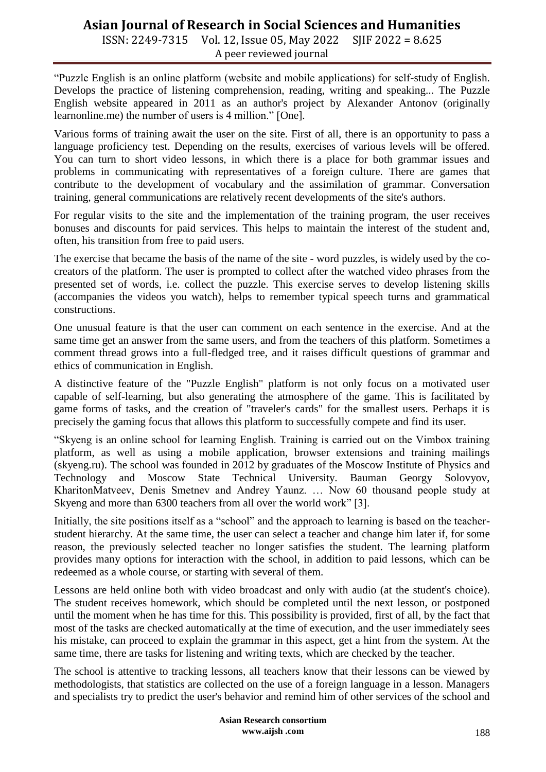ISSN: 2249-7315 Vol. 12, Issue 05, May 2022 SJIF 2022 = 8.625 A peer reviewed journal

"Puzzle English is an online platform (website and mobile applications) for self-study of English. Develops the practice of listening comprehension, reading, writing and speaking... The Puzzle English website appeared in 2011 as an author's project by Alexander Antonov (originally learnonline.me) the number of users is 4 million." [One].

Various forms of training await the user on the site. First of all, there is an opportunity to pass a language proficiency test. Depending on the results, exercises of various levels will be offered. You can turn to short video lessons, in which there is a place for both grammar issues and problems in communicating with representatives of a foreign culture. There are games that contribute to the development of vocabulary and the assimilation of grammar. Conversation training, general communications are relatively recent developments of the site's authors.

For regular visits to the site and the implementation of the training program, the user receives bonuses and discounts for paid services. This helps to maintain the interest of the student and, often, his transition from free to paid users.

The exercise that became the basis of the name of the site - word puzzles, is widely used by the cocreators of the platform. The user is prompted to collect after the watched video phrases from the presented set of words, i.e. collect the puzzle. This exercise serves to develop listening skills (accompanies the videos you watch), helps to remember typical speech turns and grammatical constructions.

One unusual feature is that the user can comment on each sentence in the exercise. And at the same time get an answer from the same users, and from the teachers of this platform. Sometimes a comment thread grows into a full-fledged tree, and it raises difficult questions of grammar and ethics of communication in English.

A distinctive feature of the "Puzzle English" platform is not only focus on a motivated user capable of self-learning, but also generating the atmosphere of the game. This is facilitated by game forms of tasks, and the creation of "traveler's cards" for the smallest users. Perhaps it is precisely the gaming focus that allows this platform to successfully compete and find its user.

"Skyeng is an online school for learning English. Training is carried out on the Vimbox training platform, as well as using a mobile application, browser extensions and training mailings (skyeng.ru). The school was founded in 2012 by graduates of the Moscow Institute of Physics and Technology and Moscow State Technical University. Bauman Georgy Solovyov, KharitonMatveev, Denis Smetnev and Andrey Yaunz. … Now 60 thousand people study at Skyeng and more than 6300 teachers from all over the world work" [3].

Initially, the site positions itself as a "school" and the approach to learning is based on the teacherstudent hierarchy. At the same time, the user can select a teacher and change him later if, for some reason, the previously selected teacher no longer satisfies the student. The learning platform provides many options for interaction with the school, in addition to paid lessons, which can be redeemed as a whole course, or starting with several of them.

Lessons are held online both with video broadcast and only with audio (at the student's choice). The student receives homework, which should be completed until the next lesson, or postponed until the moment when he has time for this. This possibility is provided, first of all, by the fact that most of the tasks are checked automatically at the time of execution, and the user immediately sees his mistake, can proceed to explain the grammar in this aspect, get a hint from the system. At the same time, there are tasks for listening and writing texts, which are checked by the teacher.

The school is attentive to tracking lessons, all teachers know that their lessons can be viewed by methodologists, that statistics are collected on the use of a foreign language in a lesson. Managers and specialists try to predict the user's behavior and remind him of other services of the school and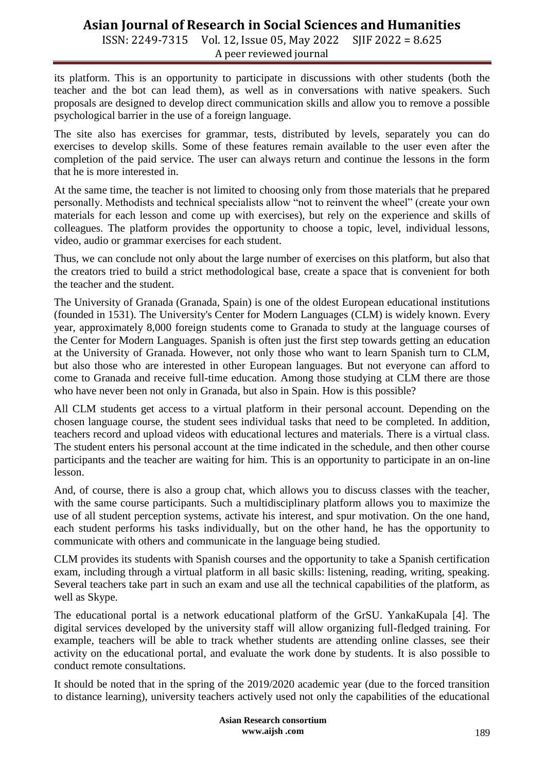ISSN: 2249-7315 Vol. 12, Issue 05, May 2022 SJIF 2022 = 8.625 A peer reviewed journal

its platform. This is an opportunity to participate in discussions with other students (both the teacher and the bot can lead them), as well as in conversations with native speakers. Such proposals are designed to develop direct communication skills and allow you to remove a possible psychological barrier in the use of a foreign language.

The site also has exercises for grammar, tests, distributed by levels, separately you can do exercises to develop skills. Some of these features remain available to the user even after the completion of the paid service. The user can always return and continue the lessons in the form that he is more interested in.

At the same time, the teacher is not limited to choosing only from those materials that he prepared personally. Methodists and technical specialists allow "not to reinvent the wheel" (create your own materials for each lesson and come up with exercises), but rely on the experience and skills of colleagues. The platform provides the opportunity to choose a topic, level, individual lessons, video, audio or grammar exercises for each student.

Thus, we can conclude not only about the large number of exercises on this platform, but also that the creators tried to build a strict methodological base, create a space that is convenient for both the teacher and the student.

The University of Granada (Granada, Spain) is one of the oldest European educational institutions (founded in 1531). The University's Center for Modern Languages (CLM) is widely known. Every year, approximately 8,000 foreign students come to Granada to study at the language courses of the Center for Modern Languages. Spanish is often just the first step towards getting an education at the University of Granada. However, not only those who want to learn Spanish turn to CLM, but also those who are interested in other European languages. But not everyone can afford to come to Granada and receive full-time education. Among those studying at CLM there are those who have never been not only in Granada, but also in Spain. How is this possible?

All CLM students get access to a virtual platform in their personal account. Depending on the chosen language course, the student sees individual tasks that need to be completed. In addition, teachers record and upload videos with educational lectures and materials. There is a virtual class. The student enters his personal account at the time indicated in the schedule, and then other course participants and the teacher are waiting for him. This is an opportunity to participate in an on-line lesson.

And, of course, there is also a group chat, which allows you to discuss classes with the teacher, with the same course participants. Such a multidisciplinary platform allows you to maximize the use of all student perception systems, activate his interest, and spur motivation. On the one hand, each student performs his tasks individually, but on the other hand, he has the opportunity to communicate with others and communicate in the language being studied.

CLM provides its students with Spanish courses and the opportunity to take a Spanish certification exam, including through a virtual platform in all basic skills: listening, reading, writing, speaking. Several teachers take part in such an exam and use all the technical capabilities of the platform, as well as Skype.

The educational portal is a network educational platform of the GrSU. YankaKupala [4]. The digital services developed by the university staff will allow organizing full-fledged training. For example, teachers will be able to track whether students are attending online classes, see their activity on the educational portal, and evaluate the work done by students. It is also possible to conduct remote consultations.

It should be noted that in the spring of the 2019/2020 academic year (due to the forced transition to distance learning), university teachers actively used not only the capabilities of the educational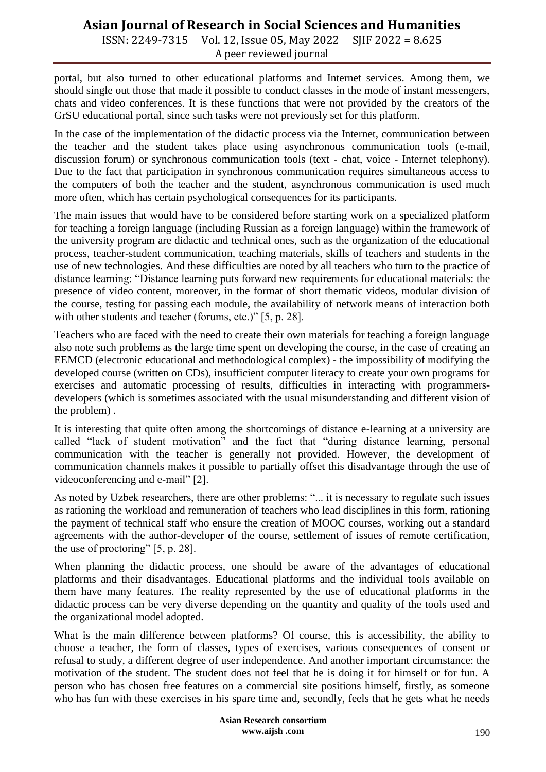ISSN: 2249-7315 Vol. 12, Issue 05, May 2022 SJIF 2022 = 8.625 A peer reviewed journal

portal, but also turned to other educational platforms and Internet services. Among them, we should single out those that made it possible to conduct classes in the mode of instant messengers, chats and video conferences. It is these functions that were not provided by the creators of the GrSU educational portal, since such tasks were not previously set for this platform.

In the case of the implementation of the didactic process via the Internet, communication between the teacher and the student takes place using asynchronous communication tools (e-mail, discussion forum) or synchronous communication tools (text - chat, voice - Internet telephony). Due to the fact that participation in synchronous communication requires simultaneous access to the computers of both the teacher and the student, asynchronous communication is used much more often, which has certain psychological consequences for its participants.

The main issues that would have to be considered before starting work on a specialized platform for teaching a foreign language (including Russian as a foreign language) within the framework of the university program are didactic and technical ones, such as the organization of the educational process, teacher-student communication, teaching materials, skills of teachers and students in the use of new technologies. And these difficulties are noted by all teachers who turn to the practice of distance learning: "Distance learning puts forward new requirements for educational materials: the presence of video content, moreover, in the format of short thematic videos, modular division of the course, testing for passing each module, the availability of network means of interaction both with other students and teacher (forums, etc.)" [5, p. 28].

Teachers who are faced with the need to create their own materials for teaching a foreign language also note such problems as the large time spent on developing the course, in the case of creating an EEMCD (electronic educational and methodological complex) - the impossibility of modifying the developed course (written on CDs), insufficient computer literacy to create your own programs for exercises and automatic processing of results, difficulties in interacting with programmersdevelopers (which is sometimes associated with the usual misunderstanding and different vision of the problem) .

It is interesting that quite often among the shortcomings of distance e-learning at a university are called "lack of student motivation" and the fact that "during distance learning, personal communication with the teacher is generally not provided. However, the development of communication channels makes it possible to partially offset this disadvantage through the use of videoconferencing and e-mail" [2].

As noted by Uzbek researchers, there are other problems: "... it is necessary to regulate such issues as rationing the workload and remuneration of teachers who lead disciplines in this form, rationing the payment of technical staff who ensure the creation of MOOC courses, working out a standard agreements with the author-developer of the course, settlement of issues of remote certification, the use of proctoring" [5, p. 28].

When planning the didactic process, one should be aware of the advantages of educational platforms and their disadvantages. Educational platforms and the individual tools available on them have many features. The reality represented by the use of educational platforms in the didactic process can be very diverse depending on the quantity and quality of the tools used and the organizational model adopted.

What is the main difference between platforms? Of course, this is accessibility, the ability to choose a teacher, the form of classes, types of exercises, various consequences of consent or refusal to study, a different degree of user independence. And another important circumstance: the motivation of the student. The student does not feel that he is doing it for himself or for fun. A person who has chosen free features on a commercial site positions himself, firstly, as someone who has fun with these exercises in his spare time and, secondly, feels that he gets what he needs